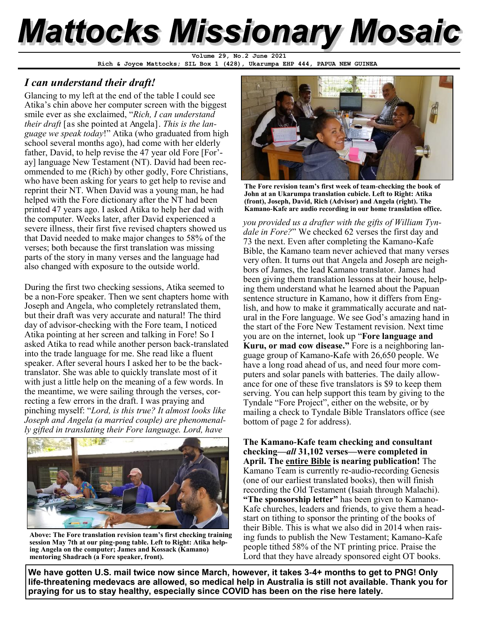# **Mattocks Missionary Mosaic**

**Rich & Joyce Mattocks; SIL Box 1 (428), Ukarumpa EHP 444, PAPUA NEW GUINEA Volume 29, No.2 June 2021**

### *I can understand their draft!*

Glancing to my left at the end of the table I could see Atika's chin above her computer screen with the biggest smile ever as she exclaimed, "*Rich, I can understand their draft* [as she pointed at Angela]. *This is the language we speak today*!" Atika (who graduated from high school several months ago), had come with her elderly father, David, to help revise the 47 year old Fore [For' ay] language New Testament (NT). David had been recommended to me (Rich) by other godly, Fore Christians, who have been asking for years to get help to revise and reprint their NT. When David was a young man, he had helped with the Fore dictionary after the NT had been printed 47 years ago. I asked Atika to help her dad with the computer. Weeks later, after David experienced a severe illness, their first five revised chapters showed us that David needed to make major changes to 58% of the verses; both because the first translation was missing parts of the story in many verses and the language had also changed with exposure to the outside world.

During the first two checking sessions, Atika seemed to be a non-Fore speaker. Then we sent chapters home with Joseph and Angela, who completely retranslated them, but their draft was very accurate and natural! The third day of advisor-checking with the Fore team, I noticed Atika pointing at her screen and talking in Fore! So I asked Atika to read while another person back-translated into the trade language for me. She read like a fluent speaker. After several hours I asked her to be the backtranslator. She was able to quickly translate most of it with just a little help on the meaning of a few words. In the meantime, we were sailing through the verses, correcting a few errors in the draft. I was praying and pinching myself: "*Lord, is this true? It almost looks like Joseph and Angela (a married couple) are phenomenally gifted in translating their Fore language. Lord, have* 



**Above: The Fore translation revision team's first checking training session May 7th at our ping-pong table. Left to Right: Atika helping Angela on the computer; James and Kossack (Kamano) mentoring Shadrach (a Fore speaker, front).** 



**The Fore revision team's first week of team-checking the book of John at an Ukarumpa translation cubicle. Left to Right: Atika (front), Joseph, David, Rich (Advisor) and Angela (right). The Kamano-Kafe are audio recording in our home translation office.** 

*you provided us a drafter with the gifts of William Tyndale in Fore?*" We checked 62 verses the first day and 73 the next. Even after completing the Kamano-Kafe Bible, the Kamano team never achieved that many verses very often. It turns out that Angela and Joseph are neighbors of James, the lead Kamano translator. James had been giving them translation lessons at their house, helping them understand what he learned about the Papuan sentence structure in Kamano, how it differs from English, and how to make it grammatically accurate and natural in the Fore language. We see God's amazing hand in the start of the Fore New Testament revision. Next time you are on the internet, look up "**Fore language and Kuru, or mad cow disease."** Fore is a neighboring language group of Kamano-Kafe with 26,650 people. We have a long road ahead of us, and need four more computers and solar panels with batteries. The daily allowance for one of these five translators is \$9 to keep them serving. You can help support this team by giving to the Tyndale "Fore Project", either on the website, or by mailing a check to Tyndale Bible Translators office (see bottom of page 2 for address).

**The Kamano-Kafe team checking and consultant checking—***all* **31,102 verses—were completed in April. The entire Bible is nearing publication!** The Kamano Team is currently re-audio-recording Genesis (one of our earliest translated books), then will finish recording the Old Testament (Isaiah through Malachi). **"The sponsorship letter"** has been given to Kamano-Kafe churches, leaders and friends, to give them a headstart on tithing to sponsor the printing of the books of their Bible. This is what we also did in 2014 when raising funds to publish the New Testament; Kamano-Kafe people tithed 58% of the NT printing price. Praise the Lord that they have already sponsored eight OT books.

**We have gotten U.S. mail twice now since March, however, it takes 3-4+ months to get to PNG! Only life-threatening medevacs are allowed, so medical help in Australia is still not available. Thank you for praying for us to stay healthy, especially since COVID has been on the rise here lately.**